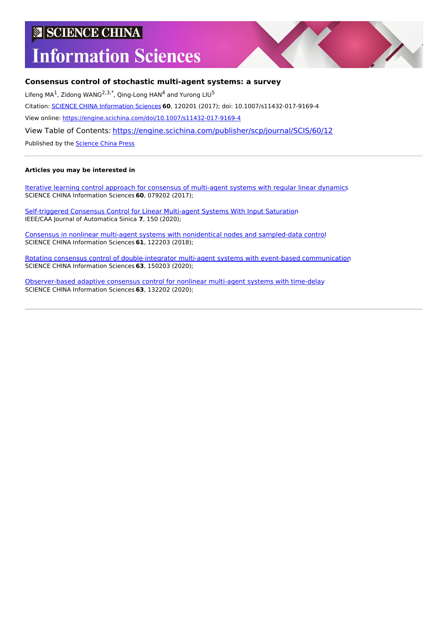# **SCIENCE CHINA**

# **Information Sciences**



# **Consensus control of stochastic multi-agent systems: a survey**

Lifeng MA<sup>1</sup>, Zidong WANG<sup>2,3,\*</sup>, Qing-Long HAN<sup>4</sup> and Yurong LIU<sup>5</sup>

Citation: SCIENCE CHINA [Information](https://engine.scichina.com/publisher/scp/journal/SCIS) Sciences **60**, 120201 (2017); doi: 10.1007/s11432-017-9169-4

View online: <https://engine.scichina.com/doi/10.1007/s11432-017-9169-4>

View Table of Contents: <https://engine.scichina.com/publisher/scp/journal/SCIS/60/12>

Published by the [Science](https://engine.scichina.com/publisher/scp) China Press

#### **Articles you may be interested in**

Iterative learning control approach for consensus of [multi-agent](https://engine.scichina.com/doi/10.1007/s11432-016-0341-7) systems with regular linear dynamics SCIENCE CHINA Information Sciences **60**, 079202 (2017);

[Self-triggered](https://engine.scichina.com/doi/10.1109/JAS.2019.1911837) Consensus Control for Linear Multi-agent Systems With Input Saturation IEEE/CAA Journal of Automatica Sinica **7**, 150 (2020);

Consensus in nonlinear multi-agent systems with nonidentical nodes and [sampled-data](https://engine.scichina.com/doi/10.1007/s11432-018-9441-4) control SCIENCE CHINA Information Sciences **61**, 122203 (2018);

Rotating consensus control of [double-integrator](https://engine.scichina.com/doi/10.1007/s11432-019-2692-9) multi-agent systems with event-based communication SCIENCE CHINA Information Sciences **63**, 150203 (2020);

[Observer-based](https://engine.scichina.com/doi/10.1007/s11432-019-2678-2) adaptive consensus control for nonlinear multi-agent systems with time-delay SCIENCE CHINA Information Sciences **63**, 132202 (2020);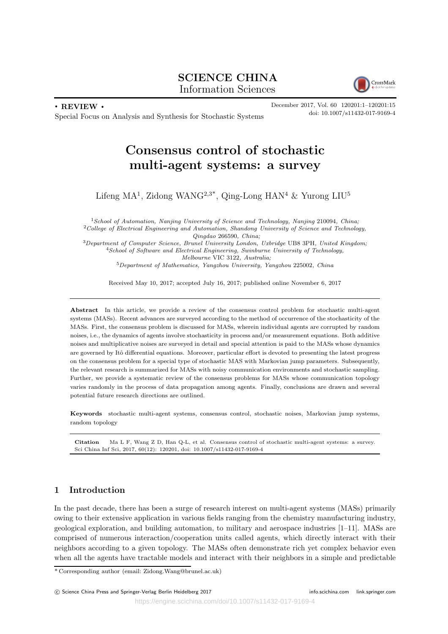# SCIENCE CHINA Information Sciences



. REVIEW .

December 2017, Vol. 60 120201:1–120201:15 doi: [10.1007/s11432-017-9169-4](https://doi.org/10.1007/s11432-017-9169-4)

Special Focus on Analysis and Synthesis for Stochastic Systems

# Consensus control of stochastic multi-agent systems: a survey

Lifeng MA<sup>1</sup>, Zidong WANG<sup>2,3\*</sup>, Qing-Long HAN<sup>4</sup> & Yurong LIU<sup>5</sup>

<sup>1</sup>School of Automation, Nanjing University of Science and Technology, Nanjing 210094, China; <sup>2</sup>College of Electrical Engineering and Automation, Shandong University of Science and Technology, Qingdao 266590, China; <sup>3</sup>Department of Computer Science, Brunel University London, Uxbridge UB8 3PH, United Kingdom; <sup>4</sup>School of Software and Electrical Engineering, Swinburne University of Technology, Melbourne VIC 3122, Australia;

<sup>5</sup>Department of Mathematics, Yangzhou University, Yangzhou 225002, China

Received May 10, 2017; accepted July 16, 2017; published online November 6, 2017

Abstract In this article, we provide a review of the consensus control problem for stochastic multi-agent systems (MASs). Recent advances are surveyed according to the method of occurrence of the stochasticity of the MASs. First, the consensus problem is discussed for MASs, wherein individual agents are corrupted by random noises, i.e., the dynamics of agents involve stochasticity in process and/or measurement equations. Both additive noises and multiplicative noises are surveyed in detail and special attention is paid to the MASs whose dynamics are governed by Itô differential equations. Moreover, particular effort is devoted to presenting the latest progress on the consensus problem for a special type of stochastic MAS with Markovian jump parameters. Subsequently, the relevant research is summarized for MASs with noisy communication environments and stochastic sampling. Further, we provide a systematic review of the consensus problems for MASs whose communication topology varies randomly in the process of data propagation among agents. Finally, conclusions are drawn and several potential future research directions are outlined.

Keywords stochastic multi-agent systems, consensus control, stochastic noises, Markovian jump systems, random topology

Citation Ma L F, Wang Z D, Han Q-L, et al. Consensus control of stochastic multi-agent systems: a survey. Sci China Inf Sci, 2017, 60(12): 120201, doi: [10.1007/s11432-017-9169-4](https://doi.org/10.1007/s11432-017-9169-4)

## 1 Introduction

In the past decade, there has been a surge of research interest on multi-agent systems (MASs) primarily owing to their extensive application in various fields ranging from the chemistry manufacturing industry, geological exploration, and building automation, to military and aerospace industries [1–11]. MASs are comprised of numerous interaction/cooperation units called agents, which directly interact with their neighbors according to a given topology. The MASs often demonstrate rich yet complex behavior even when all the agents have tractable models and interact with their neighbors in a simple and predictable

c Science China Press and Springer-Verlag Berlin Heidelberg 2017 <info.scichina.com><link.springer.com>

<sup>\*</sup> Corresponding author (email: Zidong.Wang@brunel.ac.uk)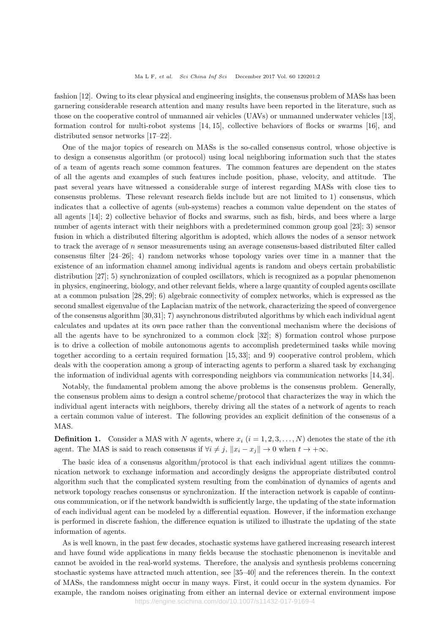fashion [12]. Owing to its clear physical and engineering insights, the consensus problem of MASs has been garnering considerable research attention and many results have been reported in the literature, such as those on the cooperative control of unmanned air vehicles (UAVs) or unmanned underwater vehicles [13], formation control for multi-robot systems [14, 15], collective behaviors of flocks or swarms [16], and distributed sensor networks [17–22].

One of the major topics of research on MASs is the so-called consensus control, whose objective is to design a consensus algorithm (or protocol) using local neighboring information such that the states of a team of agents reach some common features. The common features are dependent on the states of all the agents and examples of such features include position, phase, velocity, and attitude. The past several years have witnessed a considerable surge of interest regarding MASs with close ties to consensus problems. These relevant research fields include but are not limited to 1) consensus, which indicates that a collective of agents (sub-systems) reaches a common value dependent on the states of all agents [14]; 2) collective behavior of flocks and swarms, such as fish, birds, and bees where a large number of agents interact with their neighbors with a predetermined common group goal [23]; 3) sensor fusion in which a distributed filtering algorithm is adopted, which allows the nodes of a sensor network to track the average of  $n$  sensor measurements using an average consensus-based distributed filter called consensus filter [24–26]; 4) random networks whose topology varies over time in a manner that the existence of an information channel among individual agents is random and obeys certain probabilistic distribution [27]; 5) synchronization of coupled oscillators, which is recognized as a popular phenomenon in physics, engineering, biology, and other relevant fields, where a large quantity of coupled agents oscillate at a common pulsation [28, 29]; 6) algebraic connectivity of complex networks, which is expressed as the second smallest eigenvalue of the Laplacian matrix of the network, characterizing the speed of convergence of the consensus algorithm [30,31]; 7) asynchronous distributed algorithms by which each individual agent calculates and updates at its own pace rather than the conventional mechanism where the decisions of all the agents have to be synchronized to a common clock [32]; 8) formation control whose purpose is to drive a collection of mobile autonomous agents to accomplish predetermined tasks while moving together according to a certain required formation [15, 33]; and 9) cooperative control problem, which deals with the cooperation among a group of interacting agents to perform a shared task by exchanging the information of individual agents with corresponding neighbors via communication networks [14, 34].

Notably, the fundamental problem among the above problems is the consensus problem. Generally, the consensus problem aims to design a control scheme/protocol that characterizes the way in which the individual agent interacts with neighbors, thereby driving all the states of a network of agents to reach a certain common value of interest. The following provides an explicit definition of the consensus of a MAS.

**Definition 1.** Consider a MAS with N agents, where  $x_i$   $(i = 1, 2, 3, \ldots, N)$  denotes the state of the *i*th agent. The MAS is said to reach consensus if  $\forall i \neq j$ ,  $||x_i - x_j|| \rightarrow 0$  when  $t \rightarrow +\infty$ .

The basic idea of a consensus algorithm/protocol is that each individual agent utilizes the communication network to exchange information and accordingly designs the appropriate distributed control algorithm such that the complicated system resulting from the combination of dynamics of agents and network topology reaches consensus or synchronization. If the interaction network is capable of continuous communication, or if the network bandwidth is sufficiently large, the updating of the state information of each individual agent can be modeled by a differential equation. However, if the information exchange is performed in discrete fashion, the difference equation is utilized to illustrate the updating of the state information of agents.

As is well known, in the past few decades, stochastic systems have gathered increasing research interest and have found wide applications in many fields because the stochastic phenomenon is inevitable and cannot be avoided in the real-world systems. Therefore, the analysis and synthesis problems concerning stochastic systems have attracted much attention, see [35–40] and the references therein. In the context of MASs, the randomness might occur in many ways. First, it could occur in the system dynamics. For example, the random noises originating from either an internal device or external environment impose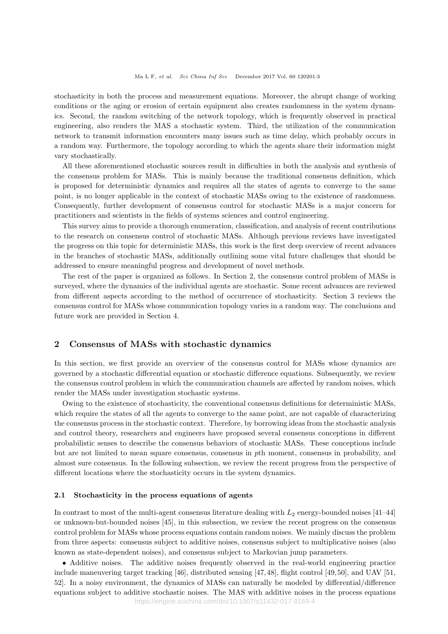stochasticity in both the process and measurement equations. Moreover, the abrupt change of working conditions or the aging or erosion of certain equipment also creates randomness in the system dynamics. Second, the random switching of the network topology, which is frequently observed in practical engineering, also renders the MAS a stochastic system. Third, the utilization of the communication network to transmit information encounters many issues such as time delay, which probably occurs in a random way. Furthermore, the topology according to which the agents share their information might vary stochastically.

All these aforementioned stochastic sources result in difficulties in both the analysis and synthesis of the consensus problem for MASs. This is mainly because the traditional consensus definition, which is proposed for deterministic dynamics and requires all the states of agents to converge to the same point, is no longer applicable in the context of stochastic MASs owing to the existence of randomness. Consequently, further development of consensus control for stochastic MASs is a major concern for practitioners and scientists in the fields of systems sciences and control engineering.

This survey aims to provide a thorough enumeration, classification, and analysis of recent contributions to the research on consensus control of stochastic MASs. Although previous reviews have investigated the progress on this topic for deterministic MASs, this work is the first deep overview of recent advances in the branches of stochastic MASs, additionally outlining some vital future challenges that should be addressed to ensure meaningful progress and development of novel methods.

The rest of the paper is organized as follows. In Section 2, the consensus control problem of MASs is surveyed, where the dynamics of the individual agents are stochastic. Some recent advances are reviewed from different aspects according to the method of occurrence of stochasticity. Section 3 reviews the consensus control for MASs whose communication topology varies in a random way. The conclusions and future work are provided in Section 4.

## 2 Consensus of MASs with stochastic dynamics

In this section, we first provide an overview of the consensus control for MASs whose dynamics are governed by a stochastic differential equation or stochastic difference equations. Subsequently, we review the consensus control problem in which the communication channels are affected by random noises, which render the MASs under investigation stochastic systems.

Owing to the existence of stochasticity, the conventional consensus definitions for deterministic MASs, which require the states of all the agents to converge to the same point, are not capable of characterizing the consensus process in the stochastic context. Therefore, by borrowing ideas from the stochastic analysis and control theory, researchers and engineers have proposed several consensus conceptions in different probabilistic senses to describe the consensus behaviors of stochastic MASs. These conceptions include but are not limited to mean square consensus, consensus in pth moment, consensus in probability, and almost sure consensus. In the following subsection, we review the recent progress from the perspective of different locations where the stochasticity occurs in the system dynamics.

#### 2.1 Stochasticity in the process equations of agents

In contrast to most of the multi-agent consensus literature dealing with  $L_2$  energy-bounded noises [41–44] or unknown-but-bounded noises [45], in this subsection, we review the recent progress on the consensus control problem for MASs whose process equations contain random noises. We mainly discuss the problem from three aspects: consensus subject to additive noises, consensus subject to multiplicative noises (also known as state-dependent noises), and consensus subject to Markovian jump parameters.

• Additive noises. The additive noises frequently observed in the real-world engineering practice include maneuvering target tracking [46], distributed sensing [47,48], flight control [49,50], and UAV [51, 52]. In a noisy environment, the dynamics of MASs can naturally be modeled by differential/difference equations subject to additive stochastic noises. The MAS with additive noises in the process equations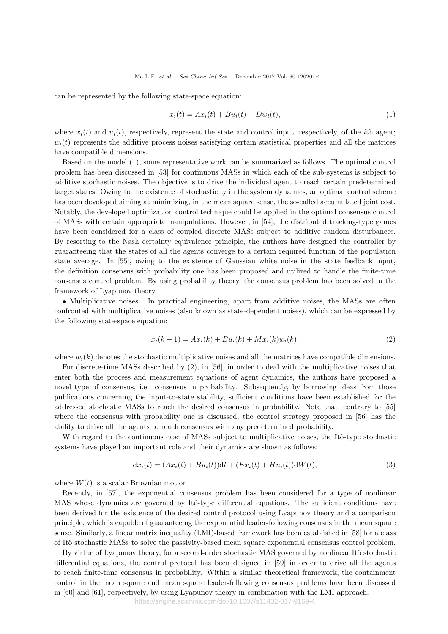can be represented by the following state-space equation:

$$
\dot{x}_i(t) = Ax_i(t) + Bu_i(t) + Dw_i(t),
$$
\n(1)

where  $x_i(t)$  and  $u_i(t)$ , respectively, represent the state and control input, respectively, of the *i*th agent;  $w_i(t)$  represents the additive process noises satisfying certain statistical properties and all the matrices have compatible dimensions.

Based on the model (1), some representative work can be summarized as follows. The optimal control problem has been discussed in [53] for continuous MASs in which each of the sub-systems is subject to additive stochastic noises. The objective is to drive the individual agent to reach certain predetermined target states. Owing to the existence of stochasticity in the system dynamics, an optimal control scheme has been developed aiming at minimizing, in the mean square sense, the so-called accumulated joint cost. Notably, the developed optimization control technique could be applied in the optimal consensus control of MASs with certain appropriate manipulations. However, in [54], the distributed tracking-type games have been considered for a class of coupled discrete MASs subject to additive random disturbances. By resorting to the Nash certainty equivalence principle, the authors have designed the controller by guaranteeing that the states of all the agents converge to a certain required function of the population state average. In [55], owing to the existence of Gaussian white noise in the state feedback input, the definition consensus with probability one has been proposed and utilized to handle the finite-time consensus control problem. By using probability theory, the consensus problem has been solved in the framework of Lyapunov theory.

• Multiplicative noises. In practical engineering, apart from additive noises, the MASs are often confronted with multiplicative noises (also known as state-dependent noises), which can be expressed by the following state-space equation:

$$
x_i(k+1) = Ax_i(k) + Bu_i(k) + Mx_i(k)w_i(k),
$$
\n(2)

where  $w_i(k)$  denotes the stochastic multiplicative noises and all the matrices have compatible dimensions.

For discrete-time MASs described by (2), in [56], in order to deal with the multiplicative noises that enter both the process and measurement equations of agent dynamics, the authors have proposed a novel type of consensus, i.e., consensus in probability. Subsequently, by borrowing ideas from those publications concerning the input-to-state stability, sufficient conditions have been established for the addressed stochastic MASs to reach the desired consensus in probability. Note that, contrary to [55] where the consensus with probability one is discussed, the control strategy proposed in [56] has the ability to drive all the agents to reach consensus with any predetermined probability.

With regard to the continuous case of MASs subject to multiplicative noises, the Itô-type stochastic systems have played an important role and their dynamics are shown as follows:

$$
dx_i(t) = (Ax_i(t) + Bu_i(t))dt + (Ex_i(t) + Hu_i(t))dW(t),
$$
\n(3)

where  $W(t)$  is a scalar Brownian motion.

Recently, in [57], the exponential consensus problem has been considered for a type of nonlinear MAS whose dynamics are governed by Itô-type differential equations. The sufficient conditions have been derived for the existence of the desired control protocol using Lyapunov theory and a comparison principle, which is capable of guaranteeing the exponential leader-following consensus in the mean square sense. Similarly, a linear matrix inequality (LMI)-based framework has been established in [58] for a class of Itˆo stochastic MASs to solve the passivity-based mean square exponential consensus control problem.

By virtue of Lyapunov theory, for a second-order stochastic MAS governed by nonlinear Itô stochastic differential equations, the control protocol has been designed in [59] in order to drive all the agents to reach finite-time consensus in probability. Within a similar theoretical framework, the containment control in the mean square and mean square leader-following consensus problems have been discussed in [60] and [61], respectively, by using Lyapunov theory in combination with the LMI approach.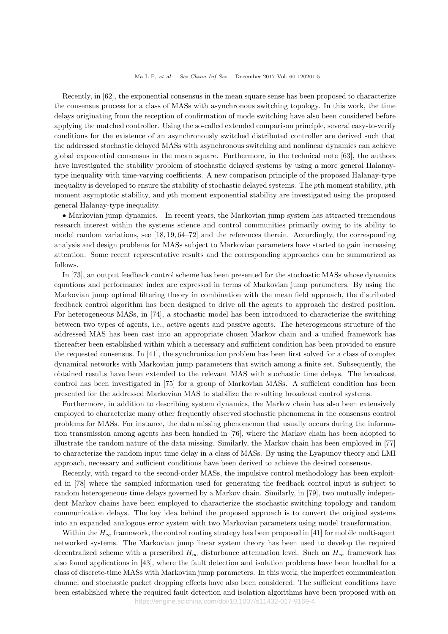#### Ma L F, et al. Sci China Inf Sci December 2017 Vol. 60 120201:5

Recently, in [62], the exponential consensus in the mean square sense has been proposed to characterize the consensus process for a class of MASs with asynchronous switching topology. In this work, the time delays originating from the reception of confirmation of mode switching have also been considered before applying the matched controller. Using the so-called extended comparison principle, several easy-to-verify conditions for the existence of an asynchronously switched distributed controller are derived such that the addressed stochastic delayed MASs with asynchronous switching and nonlinear dynamics can achieve global exponential consensus in the mean square. Furthermore, in the technical note [63], the authors have investigated the stability problem of stochastic delayed systems by using a more general Halanaytype inequality with time-varying coefficients. A new comparison principle of the proposed Halanay-type inequality is developed to ensure the stability of stochastic delayed systems. The pth moment stability, pth moment asymptotic stability, and pth moment exponential stability are investigated using the proposed general Halanay-type inequality.

• Markovian jump dynamics. In recent years, the Markovian jump system has attracted tremendous research interest within the systems science and control communities primarily owing to its ability to model random variations, see [18, 19, 64–72] and the references therein. Accordingly, the corresponding analysis and design problems for MASs subject to Markovian parameters have started to gain increasing attention. Some recent representative results and the corresponding approaches can be summarized as follows.

In [73], an output feedback control scheme has been presented for the stochastic MASs whose dynamics equations and performance index are expressed in terms of Markovian jump parameters. By using the Markovian jump optimal filtering theory in combination with the mean field approach, the distributed feedback control algorithm has been designed to drive all the agents to approach the desired position. For heterogeneous MASs, in [74], a stochastic model has been introduced to characterize the switching between two types of agents, i.e., active agents and passive agents. The heterogeneous structure of the addressed MAS has been cast into an appropriate chosen Markov chain and a unified framework has thereafter been established within which a necessary and sufficient condition has been provided to ensure the requested consensus. In [41], the synchronization problem has been first solved for a class of complex dynamical networks with Markovian jump parameters that switch among a finite set. Subsequently, the obtained results have been extended to the relevant MAS with stochastic time delays. The broadcast control has been investigated in [75] for a group of Markovian MASs. A sufficient condition has been presented for the addressed Markovian MAS to stabilize the resulting broadcast control systems.

Furthermore, in addition to describing system dynamics, the Markov chain has also been extensively employed to characterize many other frequently observed stochastic phenomena in the consensus control problems for MASs. For instance, the data missing phenomenon that usually occurs during the information transmission among agents has been handled in [76], where the Markov chain has been adopted to illustrate the random nature of the data missing. Similarly, the Markov chain has been employed in [77] to characterize the random input time delay in a class of MASs. By using the Lyapunov theory and LMI approach, necessary and sufficient conditions have been derived to achieve the desired consensus.

Recently, with regard to the second-order MASs, the impulsive control methodology has been exploited in [78] where the sampled information used for generating the feedback control input is subject to random heterogeneous time delays governed by a Markov chain. Similarly, in [79], two mutually independent Markov chains have been employed to characterize the stochastic switching topology and random communication delays. The key idea behind the proposed approach is to convert the original systems into an expanded analogous error system with two Markovian parameters using model transformation.

Within the  $H_{\infty}$  framework, the control routing strategy has been proposed in [41] for mobile multi-agent networked systems. The Markovian jump linear system theory has been used to develop the required decentralized scheme with a prescribed  $H_{\infty}$  disturbance attenuation level. Such an  $H_{\infty}$  framework has also found applications in [43], where the fault detection and isolation problems have been handled for a class of discrete-time MASs with Markovian jump parameters. In this work, the imperfect communication channel and stochastic packet dropping effects have also been considered. The sufficient conditions have been established where the required fault detection and isolation algorithms have been proposed with an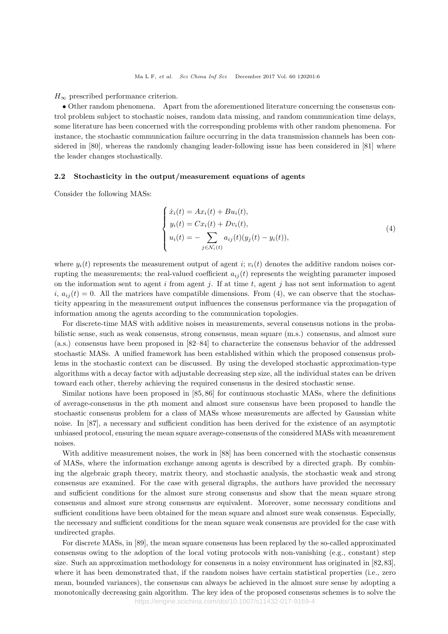$H_{\infty}$  prescribed performance criterion.

• Other random phenomena. Apart from the aforementioned literature concerning the consensus control problem subject to stochastic noises, random data missing, and random communication time delays, some literature has been concerned with the corresponding problems with other random phenomena. For instance, the stochastic communication failure occurring in the data transmission channels has been considered in [80], whereas the randomly changing leader-following issue has been considered in [81] where the leader changes stochastically.

#### 2.2 Stochasticity in the output/measurement equations of agents

Consider the following MASs:

$$
\begin{cases}\n\dot{x}_i(t) = Ax_i(t) + Bu_i(t), \\
y_i(t) = Cx_i(t) + Dv_i(t), \\
u_i(t) = -\sum_{j \in \mathcal{N}_i(t)} a_{ij}(t)(y_j(t) - y_i(t)),\n\end{cases}
$$
\n(4)

where  $y_i(t)$  represents the measurement output of agent i;  $v_i(t)$  denotes the additive random noises corrupting the measurements; the real-valued coefficient  $a_{ij}(t)$  represents the weighting parameter imposed on the information sent to agent  $i$  from agent  $j$ . If at time  $t$ , agent  $j$  has not sent information to agent  $i, a_{ij}(t) = 0$ . All the matrices have compatible dimensions. From (4), we can observe that the stochasticity appearing in the measurement output influences the consensus performance via the propagation of information among the agents according to the communication topologies.

For discrete-time MAS with additive noises in measurements, several consensus notions in the probabilistic sense, such as weak consensus, strong consensus, mean square (m.s.) consensus, and almost sure (a.s.) consensus have been proposed in [82–84] to characterize the consensus behavior of the addressed stochastic MASs. A unified framework has been established within which the proposed consensus problems in the stochastic context can be discussed. By using the developed stochastic approximation-type algorithms with a decay factor with adjustable decreasing step size, all the individual states can be driven toward each other, thereby achieving the required consensus in the desired stochastic sense.

Similar notions have been proposed in [85, 86] for continuous stochastic MASs, where the definitions of average-consensus in the pth moment and almost sure consensus have been proposed to handle the stochastic consensus problem for a class of MASs whose measurements are affected by Gaussian white noise. In [87], a necessary and sufficient condition has been derived for the existence of an asymptotic unbiased protocol, ensuring the mean square average-consensus of the considered MASs with measurement noises.

With additive measurement noises, the work in [88] has been concerned with the stochastic consensus of MASs, where the information exchange among agents is described by a directed graph. By combining the algebraic graph theory, matrix theory, and stochastic analysis, the stochastic weak and strong consensus are examined. For the case with general digraphs, the authors have provided the necessary and sufficient conditions for the almost sure strong consensus and show that the mean square strong consensus and almost sure strong consensus are equivalent. Moreover, some necessary conditions and sufficient conditions have been obtained for the mean square and almost sure weak consensus. Especially, the necessary and sufficient conditions for the mean square weak consensus are provided for the case with undirected graphs.

For discrete MASs, in [89], the mean square consensus has been replaced by the so-called approximated consensus owing to the adoption of the local voting protocols with non-vanishing (e.g., constant) step size. Such an approximation methodology for consensus in a noisy environment has originated in [82,83], where it has been demonstrated that, if the random noises have certain statistical properties (i.e., zero mean, bounded variances), the consensus can always be achieved in the almost sure sense by adopting a monotonically decreasing gain algorithm. The key idea of the proposed consensus schemes is to solve the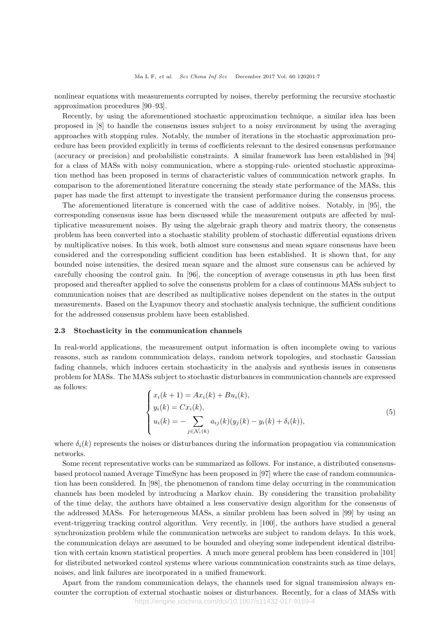nonlinear equations with measurements corrupted by noises, thereby performing the recursive stochastic approximation procedures [90–93].

Recently, by using the aforementioned stochastic approximation technique, a similar idea has been proposed in [8] to handle the consensus issues subject to a noisy environment by using the averaging approaches with stopping rules. Notably, the number of iterations in the stochastic approximation procedure has been provided explicitly in terms of coefficients relevant to the desired consensus performance (accuracy or precision) and probabilistic constraints. A similar framework has been established in [94] for a class of MASs with noisy communication, where a stopping-rule- oriented stochastic approximation method has been proposed in terms of characteristic values of communication network graphs. In comparison to the aforementioned literature concerning the steady state performance of the MASs, this paper has made the first attempt to investigate the transient performance during the consensus process.

The aforementioned literature is concerned with the case of additive noises. Notably, in [95], the corresponding consensus issue has been discussed while the measurement outputs are affected by multiplicative measurement noises. By using the algebraic graph theory and matrix theory, the consensus problem has been converted into a stochastic stability problem of stochastic differential equations driven by multiplicative noises. In this work, both almost sure consensus and mean square consensus have been considered and the corresponding sufficient condition has been established. It is shown that, for any bounded noise intensities, the desired mean square and the almost sure consensus can be achieved by carefully choosing the control gain. In [96], the conception of average consensus in pth has been first proposed and thereafter applied to solve the consensus problem for a class of continuous MASs subject to communication noises that are described as multiplicative noises dependent on the states in the output measurements. Based on the Lyapunov theory and stochastic analysis technique, the sufficient conditions for the addressed consensus problem have been established.

#### 2.3 Stochasticity in the communication channels

In real-world applications, the measurement output information is often incomplete owing to various reasons, such as random communication delays, random network topologies, and stochastic Gaussian fading channels, which induces certain stochasticity in the analysis and synthesis issues in consensus problem for MASs. The MASs subject to stochastic disturbances in communication channels are expressed as follows:

$$
\begin{cases}\nx_i(k+1) = Ax_i(k) + Bu_i(k), \\
y_i(k) = Cx_i(k), \\
u_i(k) = -\sum_{j \in \mathcal{N}_i(k)} a_{ij}(k)(y_j(k) - y_i(k) + \delta_i(k)),\n\end{cases}
$$
\n(5)

where  $\delta_i(k)$  represents the noises or disturbances during the information propagation via communication networks.

Some recent representative works can be summarized as follows. For instance, a distributed consensusbased protocol named Average TimeSync has been proposed in [97] where the case of random communication has been considered. In [98], the phenomenon of random time delay occurring in the communication channels has been modeled by introducing a Markov chain. By considering the transition probability of the time delay, the authors have obtained a less conservative design algorithm for the consensus of the addressed MASs. For heterogeneous MASs, a similar problem has been solved in [99] by using an event-triggering tracking control algorithm. Very recently, in [100], the authors have studied a general synchronization problem while the communication networks are subject to random delays. In this work, the communication delays are assumed to be bounded and obeying some independent identical distribution with certain known statistical properties. A much more general problem has been considered in [101] for distributed networked control systems where various communication constraints such as time delays, noises, and link failures are incorporated in a unified framework.

Apart from the random communication delays, the channels used for signal transmission always encounter the corruption of external stochastic noises or disturbances. Recently, for a class of MASs with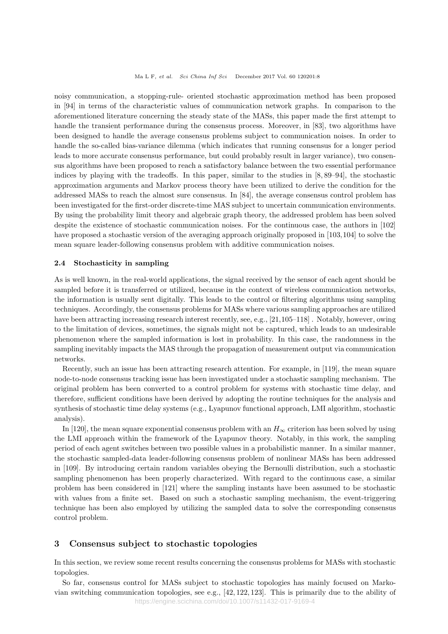noisy communication, a stopping-rule- oriented stochastic approximation method has been proposed in [94] in terms of the characteristic values of communication network graphs. In comparison to the aforementioned literature concerning the steady state of the MASs, this paper made the first attempt to handle the transient performance during the consensus process. Moreover, in [83], two algorithms have been designed to handle the average consensus problems subject to communication noises. In order to handle the so-called bias-variance dilemma (which indicates that running consensus for a longer period leads to more accurate consensus performance, but could probably result in larger variance), two consensus algorithms have been proposed to reach a satisfactory balance between the two essential performance indices by playing with the tradeoffs. In this paper, similar to the studies in [8, 89–94], the stochastic approximation arguments and Markov process theory have been utilized to derive the condition for the addressed MASs to reach the almost sure consensus. In [84], the average consensus control problem has been investigated for the first-order discrete-time MAS subject to uncertain communication environments. By using the probability limit theory and algebraic graph theory, the addressed problem has been solved despite the existence of stochastic communication noises. For the continuous case, the authors in [102] have proposed a stochastic version of the averaging approach originally proposed in [103,104] to solve the mean square leader-following consensus problem with additive communication noises.

#### 2.4 Stochasticity in sampling

As is well known, in the real-world applications, the signal received by the sensor of each agent should be sampled before it is transferred or utilized, because in the context of wireless communication networks, the information is usually sent digitally. This leads to the control or filtering algorithms using sampling techniques. Accordingly, the consensus problems for MASs where various sampling approaches are utilized have been attracting increasing research interest recently, see, e.g., [21,105–118]. Notably, however, owing to the limitation of devices, sometimes, the signals might not be captured, which leads to an undesirable phenomenon where the sampled information is lost in probability. In this case, the randomness in the sampling inevitably impacts the MAS through the propagation of measurement output via communication networks.

Recently, such an issue has been attracting research attention. For example, in [119], the mean square node-to-node consensus tracking issue has been investigated under a stochastic sampling mechanism. The original problem has been converted to a control problem for systems with stochastic time delay, and therefore, sufficient conditions have been derived by adopting the routine techniques for the analysis and synthesis of stochastic time delay systems (e.g., Lyapunov functional approach, LMI algorithm, stochastic analysis).

In [120], the mean square exponential consensus problem with an  $H_{\infty}$  criterion has been solved by using the LMI approach within the framework of the Lyapunov theory. Notably, in this work, the sampling period of each agent switches between two possible values in a probabilistic manner. In a similar manner, the stochastic sampled-data leader-following consensus problem of nonlinear MASs has been addressed in [109]. By introducing certain random variables obeying the Bernoulli distribution, such a stochastic sampling phenomenon has been properly characterized. With regard to the continuous case, a similar problem has been considered in [121] where the sampling instants have been assumed to be stochastic with values from a finite set. Based on such a stochastic sampling mechanism, the event-triggering technique has been also employed by utilizing the sampled data to solve the corresponding consensus control problem.

## 3 Consensus subject to stochastic topologies

In this section, we review some recent results concerning the consensus problems for MASs with stochastic topologies.

So far, consensus control for MASs subject to stochastic topologies has mainly focused on Markovian switching communication topologies, see e.g., [42, 122, 123]. This is primarily due to the ability of https://engine.scichina.com/doi/10.1007/s11432-017-9169-4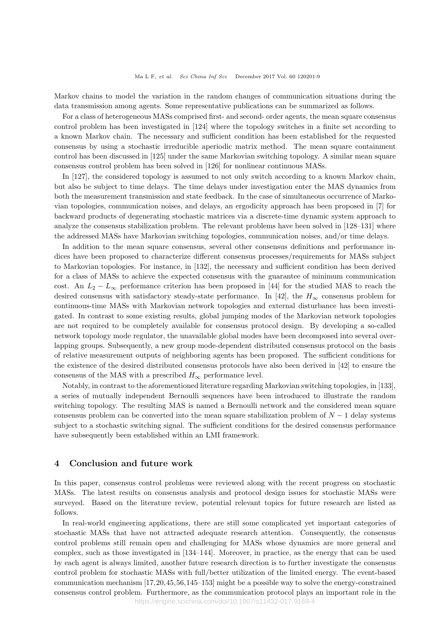Markov chains to model the variation in the random changes of communication situations during the data transmission among agents. Some representative publications can be summarized as follows.

For a class of heterogeneous MASs comprised first- and second- order agents, the mean square consensus control problem has been investigated in [124] where the topology switches in a finite set according to a known Markov chain. The necessary and sufficient condition has been established for the requested consensus by using a stochastic irreducible aperiodic matrix method. The mean square containment control has been discussed in [125] under the same Markovian switching topology. A similar mean square consensus control problem has been solved in [126] for nonlinear continuous MASs.

In [127], the considered topology is assumed to not only switch according to a known Markov chain, but also be subject to time delays. The time delays under investigation enter the MAS dynamics from both the measurement transmission and state feedback. In the case of simultaneous occurrence of Markovian topologies, communication noises, and delays, an ergodicity approach has been proposed in [7] for backward products of degenerating stochastic matrices via a discrete-time dynamic system approach to analyze the consensus stabilization problem. The relevant problems have been solved in [128–131] where the addressed MASs have Markovian switching topologies, communication noises, and/or time delays.

In addition to the mean square consensus, several other consensus definitions and performance indices have been proposed to characterize different consensus processes/requirements for MASs subject to Markovian topologies. For instance, in [132], the necessary and sufficient condition has been derived for a class of MASs to achieve the expected consensus with the guarantee of minimum communication cost. An  $L_2 - L_\infty$  performance criterion has been proposed in [44] for the studied MAS to reach the desired consensus with satisfactory steady-state performance. In [42], the  $H_{\infty}$  consensus problem for continuous-time MASs with Markovian network topologies and external disturbance has been investigated. In contrast to some existing results, global jumping modes of the Markovian network topologies are not required to be completely available for consensus protocol design. By developing a so-called network topology mode regulator, the unavailable global modes have been decomposed into several overlapping groups. Subsequently, a new group mode-dependent distributed consensus protocol on the basis of relative measurement outputs of neighboring agents has been proposed. The sufficient conditions for the existence of the desired distributed consensus protocols have also been derived in [42] to ensure the consensus of the MAS with a prescribed  $H_{\infty}$  performance level.

Notably, in contrast to the aforementioned literature regarding Markovian switching topologies, in [133], a series of mutually independent Bernoulli sequences have been introduced to illustrate the random switching topology. The resulting MAS is named a Bernoulli network and the considered mean square consensus problem can be converted into the mean square stabilization problem of  $N-1$  delay systems subject to a stochastic switching signal. The sufficient conditions for the desired consensus performance have subsequently been established within an LMI framework.

#### 4 Conclusion and future work

In this paper, consensus control problems were reviewed along with the recent progress on stochastic MASs. The latest results on consensus analysis and protocol design issues for stochastic MASs were surveyed. Based on the literature review, potential relevant topics for future research are listed as follows.

In real-world engineering applications, there are still some complicated yet important categories of stochastic MASs that have not attracted adequate research attention. Consequently, the consensus control problems still remain open and challenging for MASs whose dynamics are more general and complex, such as those investigated in [134–144]. Moreover, in practice, as the energy that can be used by each agent is always limited, another future research direction is to further investigate the consensus control problem for stochastic MASs with full/better utilization of the limited energy. The event-based communication mechanism [17,20,45,56,145–153] might be a possible way to solve the energy-constrained consensus control problem. Furthermore, as the communication protocol plays an important role in the https://engine.scichina.com/doi/10.1007/s11432-017-9169-4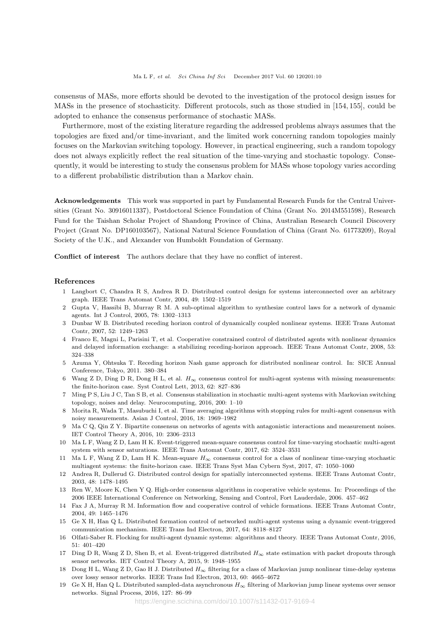consensus of MASs, more efforts should be devoted to the investigation of the protocol design issues for MASs in the presence of stochasticity. Different protocols, such as those studied in [154, 155], could be adopted to enhance the consensus performance of stochastic MASs.

Furthermore, most of the existing literature regarding the addressed problems always assumes that the topologies are fixed and/or time-invariant, and the limited work concerning random topologies mainly focuses on the Markovian switching topology. However, in practical engineering, such a random topology does not always explicitly reflect the real situation of the time-varying and stochastic topology. Consequently, it would be interesting to study the consensus problem for MASs whose topology varies according to a different probabilistic distribution than a Markov chain.

Acknowledgements This work was supported in part by Fundamental Research Funds for the Central Universities (Grant No. 30916011337), Postdoctoral Science Foundation of China (Grant No. 2014M551598), Research Fund for the Taishan Scholar Project of Shandong Province of China, Australian Research Council Discovery Project (Grant No. DP160103567), National Natural Science Foundation of China (Grant No. 61773209), Royal Society of the U.K., and Alexander von Humboldt Foundation of Germany.

Conflict of interest The authors declare that they have no conflict of interest.

#### References

- 1 Langbort C, Chandra R S, Andrea R D. Distributed control design for systems interconnected over an arbitrary graph. IEEE Trans Automat Contr, 2004, 49: 1502–1519
- 2 Gupta V, Hassibi B, Murray R M. A sub-optimal algorithm to synthesize control laws for a network of dynamic agents. Int J Control, 2005, 78: 1302–1313
- 3 Dunbar W B. Distributed receding horizon control of dynamically coupled nonlinear systems. IEEE Trans Automat Contr, 2007, 52: 1249–1263
- 4 Franco E, Magni L, Parisini T, et al. Cooperative constrained control of distributed agents with nonlinear dynamics and delayed information exchange: a stabilizing receding-horizon approach. IEEE Trans Automat Contr, 2008, 53: 324–338
- 5 Azuma Y, Ohtsuka T. Receding horizon Nash game approach for distributed nonlinear control. In: SICE Annual Conference, Tokyo, 2011. 380–384
- Wang Z D, Ding D R, Dong H L, et al.  $H_{\infty}$  consensus control for multi-agent systems with missing measurements: the finite-horizon case. Syst Control Lett, 2013, 62: 827–836
- 7 Ming P S, Liu J C, Tan S B, et al. Consensus stabilization in stochastic multi-agent systems with Markovian switching topology, noises and delay. Neurocomputing, 2016, 200: 1–10
- 8 Morita R, Wada T, Masubuchi I, et al. Time averaging algorithms with stopping rules for multi-agent consensus with noisy measurements. Asian J Control, 2016, 18: 1969–1982
- Ma C Q, Qin Z Y. Bipartite consensus on networks of agents with antagonistic interactions and measurement noises. IET Control Theory A, 2016, 10: 2306–2313
- 10 Ma L F, Wang Z D, Lam H K. Event-triggered mean-square consensus control for time-varying stochastic multi-agent system with sensor saturations. IEEE Trans Automat Contr, 2017, 62: 3524–3531
- 11 Ma L F, Wang Z D, Lam H K. Mean-square  $H_{\infty}$  consensus control for a class of nonlinear time-varying stochastic multiagent systems: the finite-horizon case. IEEE Trans Syst Man Cybern Syst, 2017, 47: 1050–1060
- 12 Andrea R, Dullerud G. Distributed control design for spatially interconnected systems. IEEE Trans Automat Contr, 2003, 48: 1478–1495
- 13 Ren W, Moore K, Chen Y Q. High-order consensus algorithms in cooperative vehicle systems. In: Proceedings of the 2006 IEEE International Conference on Networking, Sensing and Control, Fort Lauderdale, 2006. 457–462
- 14 Fax J A, Murray R M. Information flow and cooperative control of vehicle formations. IEEE Trans Automat Contr, 2004, 49: 1465–1476
- 15 Ge X H, Han Q L. Distributed formation control of networked multi-agent systems using a dynamic event-triggered communication mechanism. IEEE Trans Ind Electron, 2017, 64: 8118–8127
- 16 Olfati-Saber R. Flocking for multi-agent dynamic systems: algorithms and theory. IEEE Trans Automat Contr, 2016, 51: 401–420
- 17 Ding D R, Wang Z D, Shen B, et al. Event-triggered distributed  $H_{\infty}$  state estimation with packet dropouts through sensor networks. IET Control Theory A, 2015, 9: 1948–1955
- 18 Dong H L, Wang Z D, Gao H J. Distributed  $H_{\infty}$  filtering for a class of Markovian jump nonlinear time-delay systems over lossy sensor networks. IEEE Trans Ind Electron, 2013, 60: 4665–4672
- 19 Ge X H, Han Q L. Distributed sampled-data asynchronous  $H_{\infty}$  filtering of Markovian jump linear systems over sensor networks. Signal Process, 2016, 127: 86–99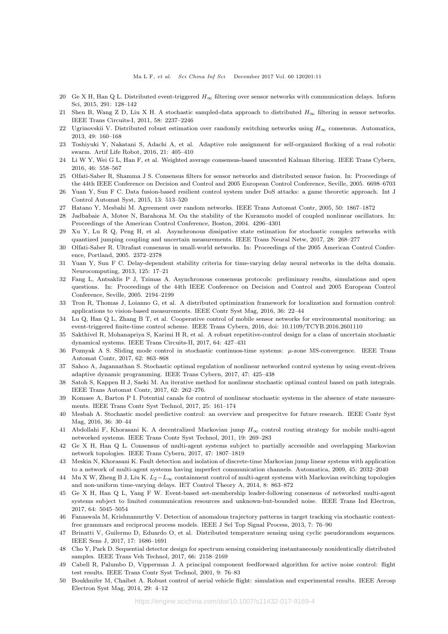- 20 Ge X H, Han Q L. Distributed event-triggered  $H_{\infty}$  filtering over sensor networks with communication delays. Inform Sci, 2015, 291: 128–142
- 21 Shen B, Wang Z D, Liu X H. A stochastic sampled-data approach to distributed  $H_{\infty}$  filtering in sensor networks. IEEE Trans Circuits-I, 2011, 58: 2237–2246
- 22 Ugrinovskii V. Distributed robust estimation over randomly switching networks using  $H_{\infty}$  consensus. Automatica, 2013, 49: 160–168
- 23 Toshiyuki Y, Nakatani S, Adachi A, et al. Adaptive role assignment for self-organized flocking of a real robotic swarm. Artif Life Robot, 2016, 21: 405–410
- 24 Li W Y, Wei G L, Han F, et al. Weighted average consensus-based unscented Kalman filtering. IEEE Trans Cybern, 2016, 46: 558–567
- 25 Olfati-Saber R, Shamma J S. Consensus filters for sensor networks and distributed sensor fusion. In: Proceedings of the 44th IEEE Conference on Decision and Control and 2005 European Control Conference, Seville, 2005. 6698–6703
- 26 Yuan Y, Sun F C. Data fusion-based resilient control system under DoS attacks: a game theoretic approach. Int J Control Automat Syst, 2015, 13: 513–520
- 27 Hatano Y, Mesbahi M. Agreement over random networks. IEEE Trans Automat Contr, 2005, 50: 1867–1872
- 28 Jadbabaie A, Motee N, Barahona M. On the stability of the Kuramoto model of coupled nonlinear oscillators. In: Proceedings of the American Control Conference, Boston, 2004. 4296–4301
- 29 Xu Y, Lu R Q, Peng H, et al. Asynchronous dissipative state estimation for stochastic complex networks with quantized jumping coupling and uncertain measurements. IEEE Trans Neural Netw, 2017, 28: 268–277
- 30 Olfati-Saber R. Ultrafast consensus in small-world networks. In: Proceedings of the 2005 American Control Conference, Portland, 2005. 2372–2378
- 31 Yuan Y, Sun F C. Delay-dependent stability criteria for time-varying delay neural networks in the delta domain. Neurocomputing, 2013, 125: 17–21
- 32 Fang L, Antsaklis P J, Tzimas A. Asynchronous consensus protocols: preliminary results, simulations and open questions. In: Proceedings of the 44th IEEE Conference on Decision and Control and 2005 European Control Conference, Seville, 2005. 2194–2199
- 33 Tron R, Thomas J, Loianno G, et al. A distributed optimization framework for localization and formation control: applications to vision-based measurements. IEEE Contr Syst Mag, 2016, 36: 22–44
- 34 Lu Q, Han Q L, Zhang B T, et al. Cooperative control of mobile sensor networks for environmental monitoring: an event-triggered finite-time control scheme. IEEE Trans Cybern, 2016, doi: 10.1109/TCYB.2016.2601110
- 35 Sakthivel R, Mohanapriya S, Karimi H R, et al. A robust repetitive-control design for a class of uncertain stochastic dynamical systems. IEEE Trans Circuits-II, 2017, 64: 427–431
- Poznyak A S. Sliding mode control in stochastic continuos-time systems:  $\mu$ -zone MS-convergence. IEEE Trans Automat Contr, 2017, 62: 863–868
- 37 Sahoo A, Jagannathan S. Stochastic optimal regulation of nonlinear networked control systems by using event-driven adaptive dynamic programming. IEEE Trans Cybern, 2017, 47: 425–438
- 38 Satoh S, Kappen H J, Saeki M. An iterative method for nonlinear stochastic optimal control based on path integrals. IEEE Trans Automat Contr, 2017, 62: 262–276.
- 39 Komaee A, Barton P I. Potential canals for control of nonlinear stochastic systems in the absence of state measurements. IEEE Trans Contr Syst Technol, 2017, 25: 161–174
- 40 Mesbah A. Stochastic model predictive control: an overview and prespecitve for future research. IEEE Contr Syst Mag, 2016, 36: 30–44
- 41 Abdollahi F, Khorasani K. A decentralized Markovian jump  $H_{\infty}$  control routing strategy for mobile multi-agent networked systems. IEEE Trans Contr Syst Technol, 2011, 19: 269–283
- 42 Ge X H, Han Q L. Consensus of multi-agent systems subject to partially accessible and overlapping Markovian network topologies. IEEE Trans Cybern, 2017, 47: 1807–1819
- 43 Meskin N, Khorasani K. Fault detection and isolation of discrete-time Markovian jump linear systems with application to a network of multi-agent systems having imperfect communication channels. Automatica, 2009, 45: 2032–2040
- 44 Mu X W, Zheng B J, Liu K.  $L_2-L_\infty$  containment control of multi-agent systems with Markovian switching topologies and non-uniform time-varying delays. IET Control Theory A, 2014, 8: 863–872
- 45 Ge X H, Han Q L, Yang F W. Event-based set-membership leader-following consensus of networked multi-agent systems subject to limited communication resources and unknown-but-bounded noise. IEEE Trans Ind Electron, 2017, 64: 5045–5054
- 46 Fanaswala M, Krishnamurthy V. Detection of anomalous trajectory patterns in target tracking via stochastic contextfree grammars and reciprocal process models. IEEE J Sel Top Signal Process, 2013, 7: 76–90
- 47 Brinatti V, Guilermo D, Eduardo O, et al. Distributed temperature sensing using cyclic pseudorandom sequences. IEEE Sens J, 2017, 17: 1686–1691
- 48 Cho Y, Park D. Sequential detector design for spectrum sensing considering instantaneously nonidentically distributed samples. IEEE Trans Veh Technol, 2017, 66: 2158–2169
- 49 Cabell R, Palumbo D, Vipperman J. A principal component feedforward algorithm for active noise control: flight test results. IEEE Trans Contr Syst Technol, 2001, 9: 76–83
- 50 Boukhnifer M, Chaibet A. Robust control of aerial vehicle flight: simulation and experimental results. IEEE Aerosp Electron Syst Mag, 2014, 29: 4–12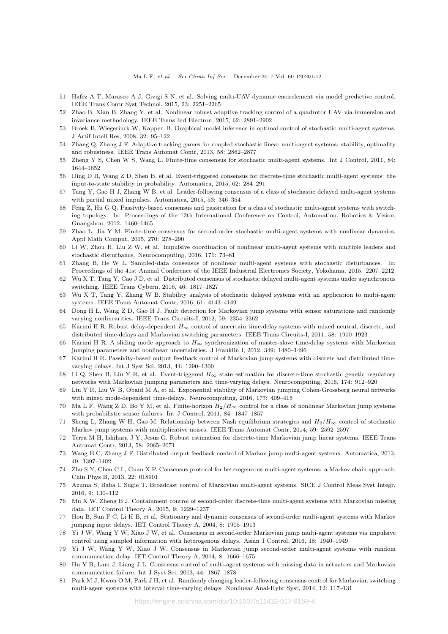- 51 Hafez A T, Marasco A J, Givigi S N, et al. Solving multi-UAV dynamic encirclement via model predictive control. IEEE Trans Contr Syst Technol, 2015, 23: 2251–2265
- 52 Zhao B, Xian B, Zhang Y, et al. Nonlinear robust adaptive tracking control of a quadrotor UAV via immersion and invariance methodology. IEEE Trans Ind Electron, 2015, 62: 2891–2902
- 53 Broek B, Wiegerinck W, Kappen B. Graphical model inference in optimal control of stochastic multi-agent systems. J Artif Intell Res, 2008, 32: 95–122
- 54 Zhang Q, Zhang J F. Adaptive tracking games for coupled stochastic linear multi-agent systems: stability, optimality and robustness. IEEE Trans Automat Contr, 2013, 58: 2862–2877
- 55 Zheng Y S, Chen W S, Wang L. Finite-time consensus for stochastic multi-agent systems. Int J Control, 2011, 84: 1644–1652
- 56 Ding D R, Wang Z D, Shen B, et al. Event-triggered consensus for discrete-time stochastic multi-agent systems: the input-to-state stability in probability. Automatica, 2015, 62: 284–291
- 57 Tang Y, Gao H J, Zhang W B, et al. Leader-following consensus of a class of stochastic delayed multi-agent systems with partial mixed impulses. Automatica, 2015, 53: 346–354
- 58 Feng Z, Hu G Q. Passivity-based consensus and passication for a class of stochastic multi-agent systems with switching topology. In: Proceedings of the 12th International Conference on Control, Automation, Robotics & Vision, Guangzhou, 2012. 1460–1465
- 59 Zhao L, Jia Y M. Finite-time consensus for second-order stochastic multi-agent systems with nonlinear dynamics. Appl Math Comput, 2015, 270: 278–290
- 60 Li W, Zhou H, Liu Z W, et al. Impulsive coordination of nonlinear multi-agent systems with multiple leaders and stochastic disturbance. Neurocomputing, 2016, 171: 73–81
- 61 Zhang B, He W L. Sampled-data consensus of nonlinear multi-agent systems with stochastic disturbances. In: Proceedings of the 41st Annual Conference of the IEEE Industrial Electronics Society, Yokohama, 2015. 2207–2212
- 62 Wu X T, Tang Y, Cao J D, et al. Distributed consensus of stochastic delayed multi-agent systems under asynchronous switching. IEEE Trans Cybern, 2016, 46: 1817–1827
- 63 Wu X T, Tang Y, Zhang W B. Stability analysis of stochastic delayed systems with an application to multi-agent systems. IEEE Trans Automat Contr, 2016, 61: 4143–4149
- 64 Dong H L, Wang Z D, Gao H J. Fault detection for Markovian jump systems with sensor saturations and randomly varying nonlinearities. IEEE Trans Circuits-I, 2012, 59: 2354–2362
- 65 Karimi H R. Robust delay-dependent  $H_{\infty}$  control of uncertain time-delay systems with mixed neutral, discrete, and distributed time-delays and Markovian switching parameters. IEEE Trans Circuits-I, 2011, 58: 1910–1923
- 66 Karimi H R. A sliding mode approach to  $H_{\infty}$  synchronization of master-slave time-delay systems with Markovian jumping parameters and nonlinear uncertainties. J Franklin I, 2012, 349: 1480–1496
- 67 Karimi H R. Passivity-based output feedback control of Markovian jump systems with discrete and distributed timevarying delays. Int J Syst Sci, 2013, 44: 1290–1300
- 68 Li Q, Shen B, Liu Y R, et al. Event-triggered  $H_{\infty}$  state estimation for discrete-time stochastic genetic regulatory networks with Markovian jumping parameters and time-varying delays. Neurocomputing, 2016, 174: 912–920
- 69 Liu Y R, Liu W B, Obaid M A, et al. Exponential stability of Markovian jumping Cohen-Grossberg neural networks with mixed mode-dependent time-delays. Neurocomputing, 2016, 177: 409–415
- 70 Ma L F, Wang Z D, Bo Y M, et al. Finite-horizon  $H_2/H_\infty$  control for a class of nonlinear Markovian jump systems with probabilistic sensor failures. Int J Control, 2011, 84: 1847–1857
- 71 Sheng L, Zhang W H, Gao M. Relationship between Nash equilibrium strategies and  $H_2/H_\infty$  control of stochastic Markov jump systems with multiplicative noises. IEEE Trans Automat Contr, 2014, 59: 2592–2597
- 72 Terra M H, Ishihara J Y, Jesus G. Robust estimation for discrete-time Markovian jump linear systems. IEEE Trans Automat Contr, 2013, 58: 2065–2071
- 73 Wang B C, Zhang J F. Distributed output feedback control of Markov jump multi-agent systems. Automatica, 2013, 49: 1397–1402
- 74 Zhu S Y, Chen C L, Guan X P. Consensus protocol for heterogeneous multi-agent systems: a Markov chain approach. Chin Phys B, 2013, 22: 018901
- 75 Azuma S, Baba I, Sugie T. Broadcast control of Markovian multi-agent systems. SICE J Control Meas Syst Integr, 2016, 9: 130–112
- 76 Mu X W, Zheng B J. Containment control of second-order discrete-time multi-agent systems with Markovian missing data. IET Control Theory A, 2015, 9: 1229–1237
- 77 Hou B, Sun F C, Li H B, et al. Stationary and dynamic consensus of second-order multi-agent systems with Markov jumping input delays. IET Control Theory A, 2004, 8: 1905–1913
- 78 Yi J W, Wang Y W, Xiao J W, et al. Consensus in second-order Markovian jump multi-agent systems via impulsive control using sampled information with heterogenous delays. Asian J Control, 2016, 18: 1940–1949
- 79 Yi J W, Wang Y W, Xiao J W. Consensus in Markovian jump second-order multi-agent systems with random communication delay. IET Control Theory A, 2014, 8: 1666–1675
- 80 Hu Y B, Lam J, Liang J L. Consensus control of multi-agent systems with missing data in actuators and Markovian communication failure. Int J Syst Sci, 2013, 44: 1867–1878
- 81 Park M J, Kwon O M, Park J H, et al. Randomly changing leader-following consensus control for Markovian switching multi-agent systems with interval time-varying delays. Nonlinear Anal-Hybr Syst, 2014, 12: 117–131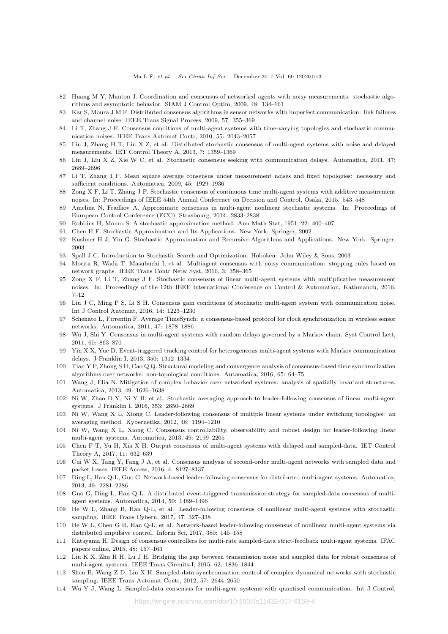- 82 Huang M Y, Manton J. Coordination and consensus of networked agents with noisy measurements: stochastic algorithms and ssymptotic behavior. SIAM J Control Optim, 2009, 48: 134–161
- 83 Kar S, Moura J M F. Distributed consensus algorithms in sensor networks with imperfect communication: link failures and channel noise. IEEE Trans Signal Process, 2009, 57: 355–369
- 84 Li T, Zhang J F. Consensus conditions of multi-agent systems with time-varying topologies and stochastic communication noises. IEEE Trans Automat Contr, 2010, 55: 2043–2057
- 85 Liu J, Zhang H T, Liu X Z, et al. Distributed stochastic consensus of multi-agent systems with noise and delayed measurements. IET Control Theory A, 2013, 7: 1359–1369
- 86 Liu J, Liu X Z, Xie W C, et al. Stochastic consensus seeking with communication delays. Automatica, 2011, 47: 2689–2696
- 87 Li T, Zhang J F. Mean square average consensus under measurement noises and fixed topologies: necessary and sufficient conditions. Automatica, 2009, 45: 1929–1936
- 88 Zong X F, Li T, Zhang J F. Stochastic consensus of continuous time multi-agent systems with additive measurement noises. In: Proceedings of IEEE 54th Annual Conference on Decision and Control, Osaka, 2015. 543–548
- 89 Amelina N, Fradkov A. Approximate consensus in multi-agent nonlinear stochastic systems. In: Proceedings of European Control Conference (ECC), Strasbourg, 2014. 2833–2838
- 90 Robbins H, Monro S. A stochastic approximation method. Ann Math Stat, 1951, 22: 400–407
- 91 Chen H F. Stochastic Approximation and Its Applications. New York: Springer, 2002
- 92 Kushner H J, Yin G. Stochastic Approximation and Recursive Algorithms and Applications. New York: Springer. 2003
- 93 Spall J C. Introduction to Stochastic Search and Optimization. Hoboken: John Wiley & Sons, 2003
- 94 Morita R, Wada T, Masubuchi I, et al. Multiagent consensus with noisy communication: stopping rules based on network graphs. IEEE Trans Contr Netw Syst, 2016, 3: 358–365
- 95 Zong X F, Li T, Zhang J F. Stochastic consensus of linear multi-agent systems with multiplicative measurement noises. In: Proceedings of the 12th IEEE International Conference on Control & Automation, Kathmandu, 2016. 7–12
- 96 Liu J C, Ming P S, Li S H. Consensus gain conditions of stochastic multi-agent system with communication noise. Int J Control Automat, 2016, 14: 1223–1230
- 97 Schenato L, Firrentin F. Average TimeSynch: a consensus-based protocol for clock synchronization in wireless sensor networks. Automatica, 2011, 47: 1878–1886
- 98 Wu J, Shi Y. Consensus in multi-agent systems with random delays governed by a Markov chain. Syst Control Lett, 2011, 60: 863–870
- 99 Yin X X, Yue D. Event-triggered tracking control for heterogeneous multi-agent systems with Markov communication delays. J Franklin I, 2013, 350: 1312–1334
- 100 Tian Y P, Zhong S H, Cao Q Q. Structural modeling and convergence analysis of consensus-based time synchronization algorithms over networks: non-topological conditions. Automatica, 2016, 65: 64–75
- 101 Wang J, Elia N. Mitigation of complex behavior over networked systems: analysis of spatially invariant structures. Automatica, 2013, 49: 1626–1638
- 102 Ni W, Zhao D Y, Ni Y H, et al. Stochastic averaging approach to leader-following consensus of linear multi-agent systems. J Franklin I, 2016, 353: 2650–2669
- 103 Ni W, Wang X L, Xiong C. Leader-following consensus of multiple linear systems under switching topologies: an averaging method. Kybernetika, 2012, 48: 1194–1210
- 104 Ni W, Wang X L, Xiong C. Consensus controllability, observability and robust design for leader-following linear multi-agent systems. Automatica, 2013, 49: 2199–2205
- 105 Chen F T, Yu H, Xia X H. Output consensus of multi-agent systems with delayed and sampled-data. IET Control Theory A, 2017, 11: 632–639
- 106 Cui W X, Tang Y, Fang J A, et al. Consensus analysis of second-order multi-agent networks with sampled data and packet losses. IEEE Access, 2016, 4: 8127–8137
- 107 Ding L, Han Q-L, Guo G. Network-based leader-following consensus for distributed multi-agent systems. Automatica, 2013, 49: 2281–2286
- 108 Guo G, Ding L, Han Q L. A distributed event-triggered transmission strategy for sampled-data consensus of multiagent systems. Automatica, 2014, 50: 1489–1496
- 109 He W L, Zhang B, Han Q-L, et al. Leader-following consensus of nonlinear multi-agent systems with stochastic sampling. IEEE Trans Cybern, 2017, 47: 327–338
- 110 He W L, Chen G R, Han Q-L, et al. Network-based leader-following consensus of nonlinear multi-agent systems via distributed impulsive control. Inform Sci, 2017, 380: 145–158
- 111 Katayama H. Design of consensus controllers for multi-rate sampled-data strict-feedback multi-agent systems. IFAC papers online, 2015, 48: 157–163
- 112 Liu K X, Zhu H H, Lu J H. Bridging the gap between transmission noise and sampled data for robust consensus of multi-agent systems. IEEE Trans Circuits-I, 2015, 62: 1836–1844
- 113 Shen B, Wang Z D, Liu X H. Sampled-data synchronization control of complex dynamical networks with stochastic sampling. IEEE Trans Automat Contr, 2012, 57: 2644–2650
- 114 Wu Y J, Wang L. Sampled-data consensus for multi-agent systems with quantised communication. Int J Control,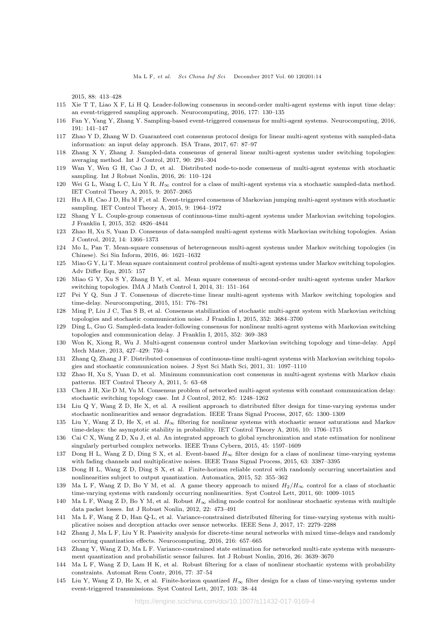2015, 88: 413–428

- 115 Xie T T, Liao X F, Li H Q. Leader-following consensus in second-order multi-agent systems with input time delay: an event-triggered sampling approach. Neurocomputing, 2016, 177: 130–135
- 116 Fan Y, Yang Y, Zhang Y. Sampling-based event-triggered consensus for multi-agent systems. Neurocomputing, 2016, 191: 141–147
- 117 Zhao Y D, Zhang W D. Guaranteed cost consensus protocol design for linear multi-agent systems with sampled-data information: an input delay approach. ISA Trans, 2017, 67: 87–97
- 118 Zhang X Y, Zhang J. Sampled-data consensus of general linear multi-agent systems under switching topologies: averaging method. Int J Control, 2017, 90: 291–304
- 119 Wan Y, Wen G H, Cao J D, et al. Distributed node-to-node consensus of multi-agent systems with stochastic sampling. Int J Robust Nonlin, 2016, 26: 110–124
- 120 Wei G L, Wang L C, Liu Y R.  $H_{\infty}$  control for a class of multi-agent systems via a stochastic sampled-data method. IET Control Theory A, 2015, 9: 2057–2065
- 121 Hu A H, Cao J D, Hu M F, et al. Event-triggered consensus of Markovian jumping multi-agent systmes with stochastic sampling. IET Control Theory A, 2015, 9: 1964–1972
- 122 Shang Y L. Couple-group consensus of continuous-time multi-agent systems under Markovian switching topologies. J Franklin I, 2015, 352: 4826–4844
- 123 Zhao H, Xu S, Yuan D. Consensus of data-sampled multi-agent systems with Markovian switching topologies. Asian J Control, 2012, 14: 1366–1373
- 124 Mo L, Pan T. Mean-square consensus of heterogeneous multi-agent systems under Markov switching topologies (in Chinese). Sci Sin Inform, 2016, 46: 1621–1632
- 125 Miao G Y, Li T. Mean square containment control problems of multi-agent systems under Markov switching topologies. Adv Differ Equ, 2015: 157
- 126 Miao G Y, Xu S Y, Zhang B Y, et al. Mean square consensus of second-order multi-agent systems under Markov switching topologies. IMA J Math Control I, 2014, 31: 151–164
- 127 Pei Y Q, Sun J T. Consensus of discrete-time linear multi-agent systems with Markov switching topologies and time-delay. Neurocomputing, 2015, 151: 776–781
- 128 Ming P, Liu J C, Tan S B, et al. Consensus stabilization of stochastic multi-agent system with Markovian switching topologies and stochastic communication noise. J Franklin I, 2015, 352: 3684–3700
- 129 Ding L, Guo G. Sampled-data leader-following consensus for nonlinear multi-agent systems with Markovian switching topologies and communication delay. J Franklin I, 2015, 352: 369–383
- 130 Won K, Xiong R, Wu J. Multi-agent consensus control under Markovian switching topology and time-delay. Appl Mech Mater, 2013, 427–429: 750–4
- 131 Zhang Q, Zhang J F. Distributed consensus of continuous-time multi-agent systems with Markovian switching topologies and stochastic communication noises. J Syst Sci Math Sci, 2011, 31: 1097–1110
- 132 Zhao H, Xu S, Yuan D, et al. Minimum communication cost consensus in multi-agent systems with Markov chain patterns. IET Control Theory A, 2011, 5: 63–68
- 133 Chen J H, Xie D M, Yu M. Consensus problem of networked multi-agent systems with constant communication delay: stochastic switching topology case. Int J Control, 2012, 85: 1248–1262
- 134 Liu Q Y, Wang Z D, He X, et al. A resilient approach to distributed filter design for time-varying systems under stochastic nonlinearities and sensor degradation. IEEE Trans Signal Process, 2017, 65: 1300–1309
- 135 Liu Y, Wang Z D, He X, et al.  $H_{\infty}$  filtering for nonlinear systems with stochastic sensor saturations and Markov time-delays: the asymptotic stability in probability. IET Control Theory A, 2016, 10: 1706–1715
- 136 Cai C X, Wang Z D, Xu J, et al. An integrated approach to global synchronization and state estimation for nonlinear singularly perturbed complex networks. IEEE Trans Cybern, 2015, 45: 1597–1609
- 137 Dong H L, Wang Z D, Ding S X, et al. Event-based  $H_{\infty}$  filter design for a class of nonlinear time-varying systems with fading channels and multiplicative noises. IEEE Trans Signal Process, 2015, 63: 3387–3395
- 138 Dong H L, Wang Z D, Ding S X, et al. Finite-horizon reliable control with randomly occurring uncertainties and nonlinearities subject to output quantization. Automatica, 2015, 52: 355–362
- 139 Ma L F, Wang Z D, Bo Y M, et al. A game theory approach to mixed  $H_2/H_\infty$  control for a class of stochastic time-varying systems with randomly occurring nonlinearities. Syst Control Lett, 2011, 60: 1009–1015
- 140 Ma L F, Wang Z D, Bo Y M, et al. Robust  $H_{\infty}$  sliding mode control for nonlinear stochastic systems with multiple data packet losses. Int J Robust Nonlin, 2012, 22: 473–491
- 141 Ma L F, Wang Z D, Han Q-L, et al. Variance-constrained distributed filtering for time-varying systems with multiplicative noises and deception attacks over sensor networks. IEEE Sens J, 2017, 17: 2279–2288
- 142 Zhang J, Ma L F, Liu Y R. Passivity analysis for discrete-time neural networks with mixed time-delays and randomly occurring quantization effects. Neurocomputing, 2016, 216: 657–665
- 143 Zhang Y, Wang Z D, Ma L F. Variance-constrained state estimation for networked multi-rate systems with measurement quantization and probabilistic sensor failures. Int J Robust Nonlin, 2016, 26: 3639–3670
- 144 Ma L F, Wang Z D, Lam H K, et al. Robust filtering for a class of nonlinear stochastic systems with probability constraints. Automat Rem Contr, 2016, 77: 37–54
- 145 Liu Y, Wang Z D, He X, et al. Finite-horizon quantized  $H_{\infty}$  filter design for a class of time-varying systems under event-triggered transmissions. Syst Control Lett, 2017, 103: 38–44